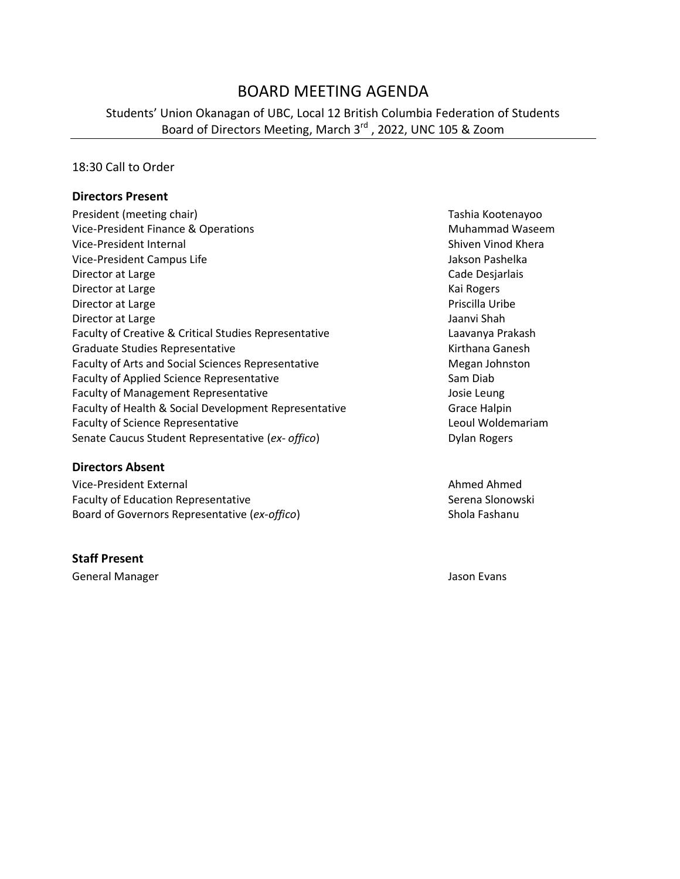# BOARD MEETING AGENDA

# Students' Union Okanagan of UBC, Local 12 British Columbia Federation of Students Board of Directors Meeting, March 3<sup>rd</sup>, 2022, UNC 105 & Zoom

### 18:30 Call to Order

### **Directors Present**

President (meeting chair) Tashia Kootenayoo Vice-President Finance & Operations Muhammad Waseem Vice-President Internal Shiven Vinod Khera Vice-President Campus Life Jakson Pashelka Director at Large **Cade Desjarlais Cade Desjarlais** Director at Large Kai Rogers and American Control of the Manual Association and American Control of the Manual Association and American Control of the Manual Association and American Control of the Manual Association and A Director at Large **Priscilla Uribe** Priscilla Uribe Priscilla Uribe Priscilla Uribe Priscilla Uribe Priscilla Uribe Director at Large Jaanvi Shah Jaanvi Shah Jaanvi Shah Jaanvi Shah Jaanvi Shah Jaanvi Shah Jaanvi Shah Jaanvi Shah Faculty of Creative & Critical Studies Representative **Lack Critical Studies Representative** Laavanya Prakash Graduate Studies Representative **Kirthana Ganesh** Kirthana Ganesh Faculty of Arts and Social Sciences Representative Megan Johnston Megan Johnston Faculty of Applied Science Representative Sam Diab Faculty of Management Representative and the Management Representative and the Management Representative Faculty of Health & Social Development Representative Grace Halpin Faculty of Science Representative **Leoul Woldemariam** Leoul Woldemariam Senate Caucus Student Representative (ex- offico) **Dylan Rogers** Dylan Rogers

#### **Directors Absent**

Vice-President External Ahmed Ahmed Faculty of Education Representative **Serena Slonowski** Serena Slonowski Board of Governors Representative (*ex-offico*) Shola Fashanu

### **Staff Present**

General Manager Jason Evans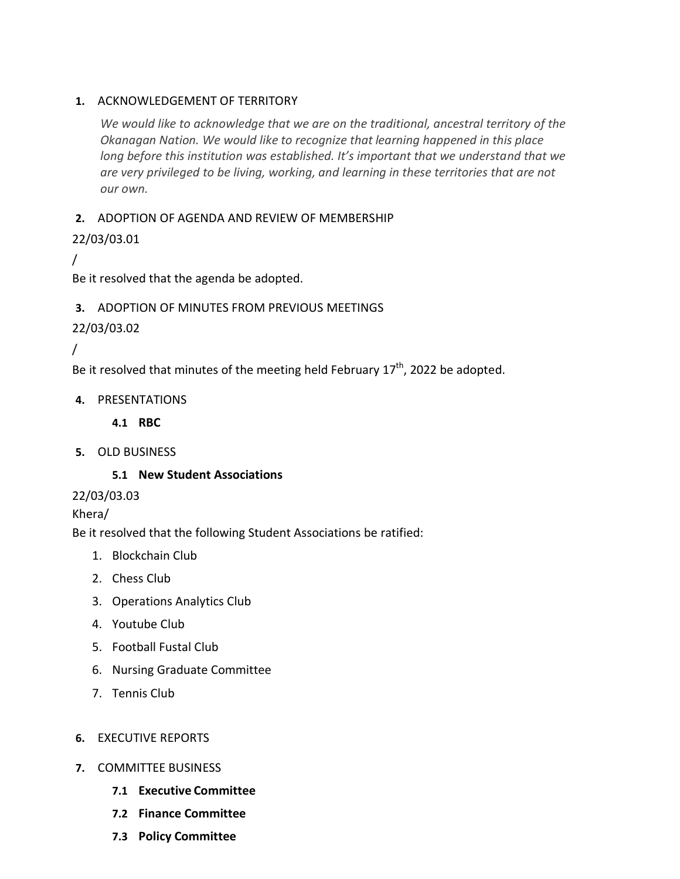# **1.** ACKNOWLEDGEMENT OF TERRITORY

*We would like to acknowledge that we are on the traditional, ancestral territory of the Okanagan Nation. We would like to recognize that learning happened in this place long before this institution was established. It's important that we understand that we are very privileged to be living, working, and learning in these territories that are not our own.*

# **2.** ADOPTION OF AGENDA AND REVIEW OF MEMBERSHIP

# 22/03/03.01

/

Be it resolved that the agenda be adopted.

# **3.** ADOPTION OF MINUTES FROM PREVIOUS MEETINGS

22/03/03.02

/

Be it resolved that minutes of the meeting held February  $17^{th}$ , 2022 be adopted.

# **4.** PRESENTATIONS

**4.1 RBC** 

**5.** OLD BUSINESS

# **5.1 New Student Associations**

# 22/03/03.03

# Khera/

Be it resolved that the following Student Associations be ratified:

- 1. Blockchain Club
- 2. Chess Club
- 3. Operations Analytics Club
- 4. Youtube Club
- 5. Football Fustal Club
- 6. Nursing Graduate Committee
- 7. Tennis Club

# **6.** EXECUTIVE REPORTS

- **7.** COMMITTEE BUSINESS
	- **7.1 Executive Committee**
	- **7.2 Finance Committee**
	- **7.3 Policy Committee**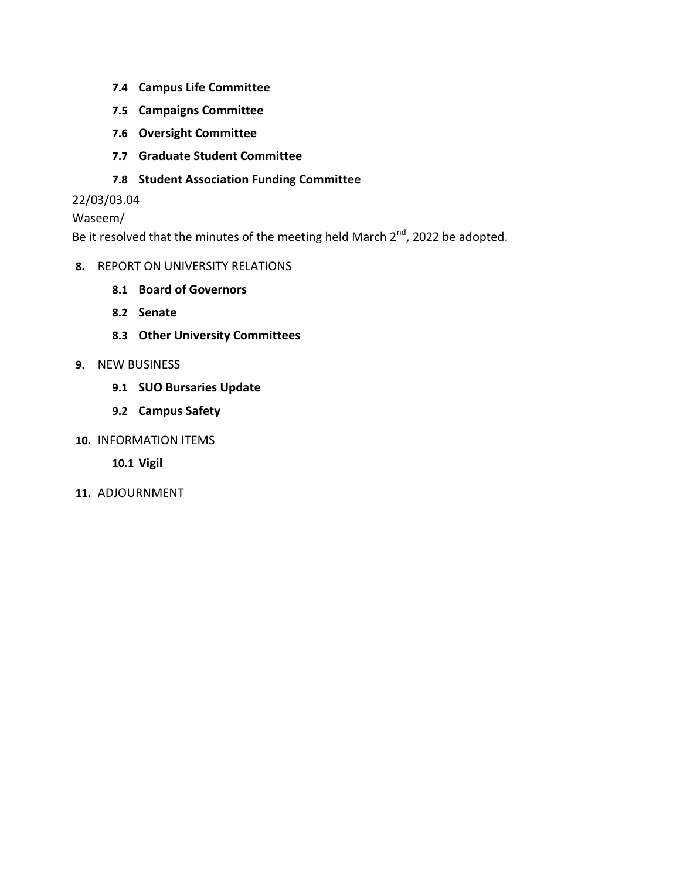- **7.4 Campus Life Committee**
- **7.5 Campaigns Committee**
- **7.6 Oversight Committee**
- **7.7 Graduate Student Committee**
- **7.8 Student Association Funding Committee**

### 22/03/03.04

### Waseem/

Be it resolved that the minutes of the meeting held March  $2^{nd}$ , 2022 be adopted.

### **8.** REPORT ON UNIVERSITY RELATIONS

- **8.1 Board of Governors**
- **8.2 Senate**
- **8.3 Other University Committees**

### **9.** NEW BUSINESS

- **9.1 SUO Bursaries Update**
- **9.2 Campus Safety**
- **10.** INFORMATION ITEMS

**10.1 Vigil** 

**11.** ADJOURNMENT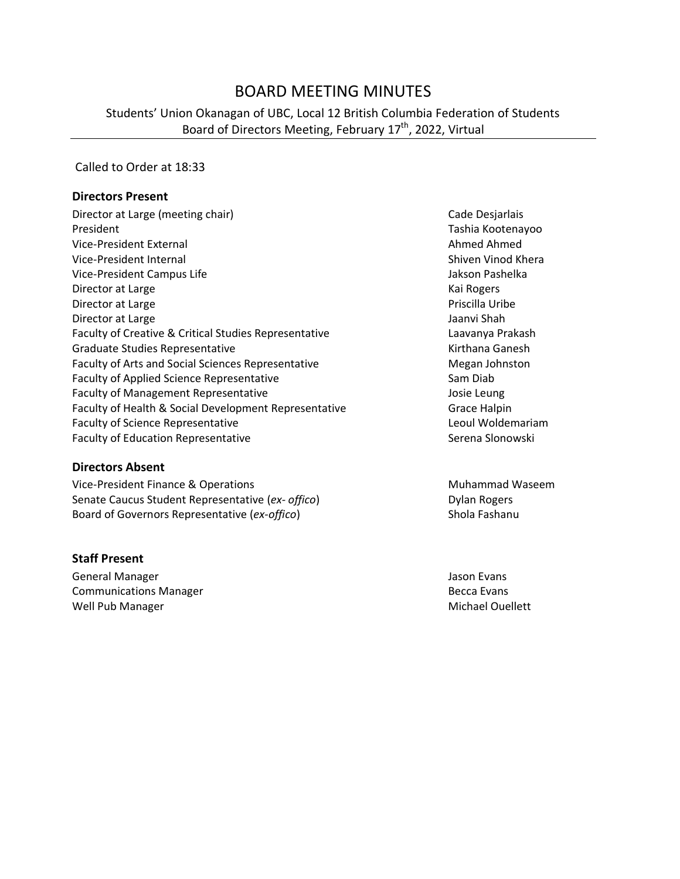# BOARD MEETING MINUTES

Students' Union Okanagan of UBC, Local 12 British Columbia Federation of Students Board of Directors Meeting, February 17<sup>th</sup>, 2022, Virtual

Called to Order at 18:33

#### **Directors Present**

- Director at Large (meeting chair) and the control of the Cade Desjarlais Cade Desjarlais President Tashia Kootenayoo Vice-President External Ahmed Ahmed Vice-President Internal National Shiven Vinod Khera Shiven Vinod Khera Vice-President Campus Life Jakson Pashelka Director at Large Kai Rogers and American Control of the Manual Association and American Control of the Manual Association and American Control of the Manual Association and American Control of the Manual Association and A Director at Large **Priscilla Uribe** Priscilla Uribe Priscilla Uribe Priscilla Uribe Priscilla Uribe Priscilla Uribe Director at Large Jaanvi Shah Jaanvi Shah Jaanvi Shah Jaanvi Shah Jaanvi Shah Jaanvi Shah Jaanvi Shah Jaanvi Shah Faculty of Creative & Critical Studies Representative **Lack Critical Studies Representative** Laavanya Prakash Graduate Studies Representative **Kirthana Ganesh** Kirthana Ganesh Faculty of Arts and Social Sciences Representative Megan Johnston Faculty of Applied Science Representative Sam Diab Faculty of Management Representative and the Management Representative and the Management Representative Faculty of Health & Social Development Representative Grace Halpin Faculty of Science Representative **Leoul Woldemariam** Faculty of Education Representative **Serena Slonowski** Serena Slonowski
- **Directors Absent**

Vice-President Finance & Operations Muhammad Waseem Senate Caucus Student Representative (ex- offico) **Dylan Rogers** Dylan Rogers Board of Governors Representative (*ex-offico*) Shola Fashanu

#### **Staff Present**

General Manager Jason Evans **Communications Manager Becca Evans** Becca Evans Well Pub Manager National Communication of the Michael Ouellett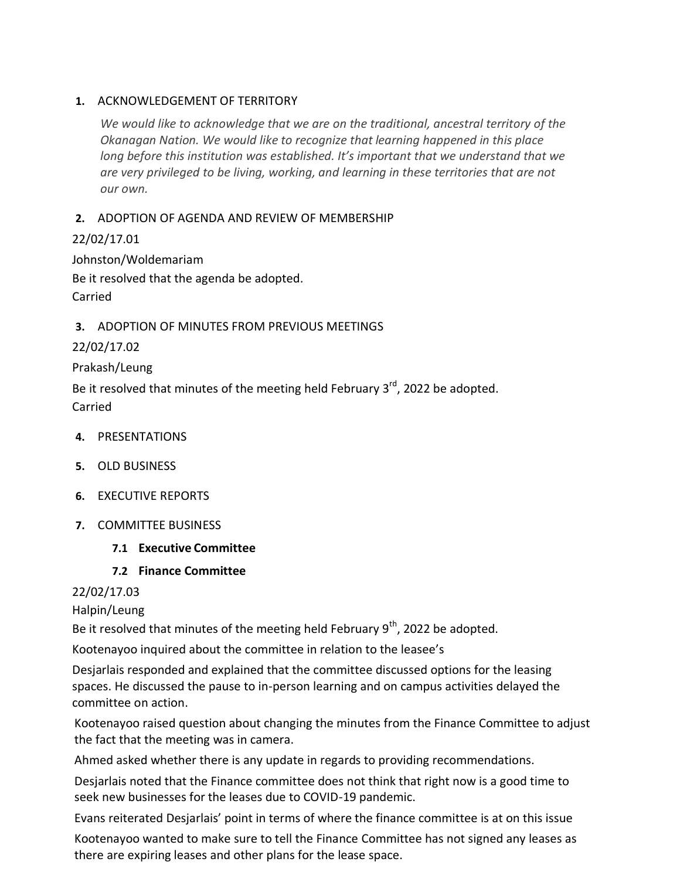### **1.** ACKNOWLEDGEMENT OF TERRITORY

*We would like to acknowledge that we are on the traditional, ancestral territory of the Okanagan Nation. We would like to recognize that learning happened in this place long before this institution was established. It's important that we understand that we are very privileged to be living, working, and learning in these territories that are not our own.*

# **2.** ADOPTION OF AGENDA AND REVIEW OF MEMBERSHIP

22/02/17.01 Johnston/Woldemariam Be it resolved that the agenda be adopted. Carried

# **3.** ADOPTION OF MINUTES FROM PREVIOUS MEETINGS

22/02/17.02

Prakash/Leung

Be it resolved that minutes of the meeting held February 3<sup>rd</sup>, 2022 be adopted. Carried

- **4.** PRESENTATIONS
- **5.** OLD BUSINESS
- **6.** EXECUTIVE REPORTS
- **7.** COMMITTEE BUSINESS
	- **7.1 Executive Committee**
	- **7.2 Finance Committee**

22/02/17.03

Halpin/Leung

Be it resolved that minutes of the meeting held February  $9<sup>th</sup>$ , 2022 be adopted.

Kootenayoo inquired about the committee in relation to the leasee's

Desjarlais responded and explained that the committee discussed options for the leasing spaces. He discussed the pause to in-person learning and on campus activities delayed the committee on action.

Kootenayoo raised question about changing the minutes from the Finance Committee to adjust the fact that the meeting was in camera.

Ahmed asked whether there is any update in regards to providing recommendations.

Desjarlais noted that the Finance committee does not think that right now is a good time to seek new businesses for the leases due to COVID-19 pandemic.

Evans reiterated Desjarlais' point in terms of where the finance committee is at on this issue

Kootenayoo wanted to make sure to tell the Finance Committee has not signed any leases as there are expiring leases and other plans for the lease space.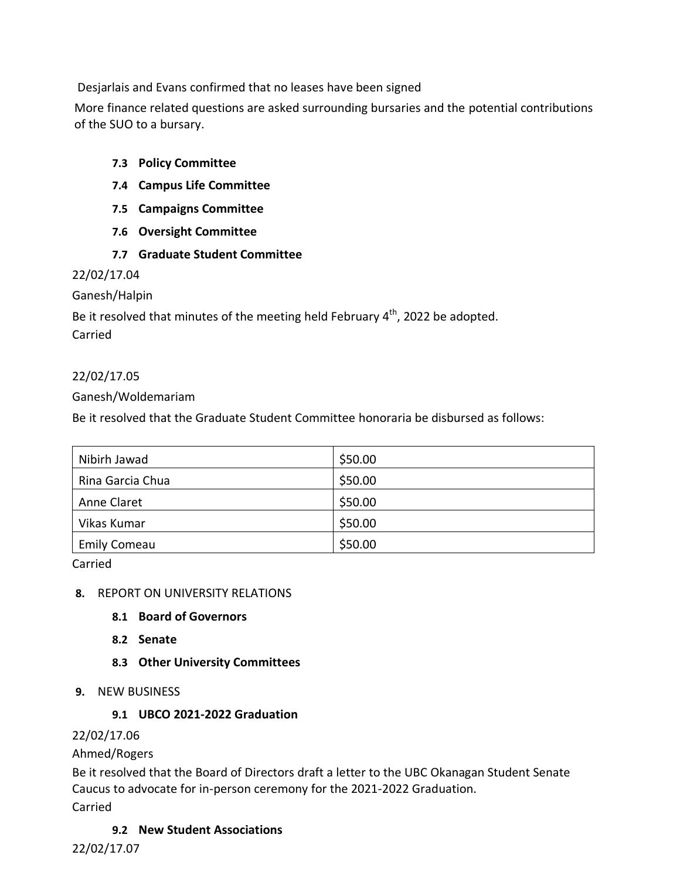Desjarlais and Evans confirmed that no leases have been signed

More finance related questions are asked surrounding bursaries and the potential contributions of the SUO to a bursary.

# **7.3 Policy Committee**

- **7.4 Campus Life Committee**
- **7.5 Campaigns Committee**
- **7.6 Oversight Committee**
- **7.7 Graduate Student Committee**

### 22/02/17.04

Ganesh/Halpin

Be it resolved that minutes of the meeting held February 4<sup>th</sup>, 2022 be adopted. Carried

# 22/02/17.05

Ganesh/Woldemariam

Be it resolved that the Graduate Student Committee honoraria be disbursed as follows:

| Nibirh Jawad        | \$50.00 |
|---------------------|---------|
| Rina Garcia Chua    | \$50.00 |
| Anne Claret         | \$50.00 |
| Vikas Kumar         | \$50.00 |
| <b>Emily Comeau</b> | \$50.00 |

Carried

### **8.** REPORT ON UNIVERSITY RELATIONS

- **8.1 Board of Governors**
- **8.2 Senate**
- **8.3 Other University Committees**
- **9.** NEW BUSINESS

### **9.1 UBCO 2021-2022 Graduation**

### 22/02/17.06

### Ahmed/Rogers

Be it resolved that the Board of Directors draft a letter to the UBC Okanagan Student Senate Caucus to advocate for in-person ceremony for the 2021-2022 Graduation.

Carried

### **9.2 New Student Associations**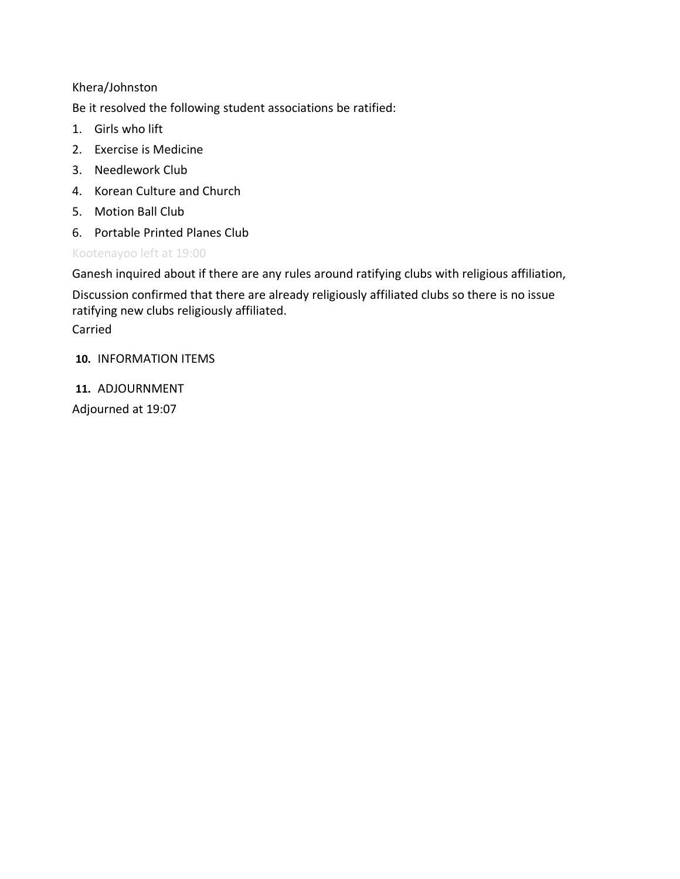# Khera/Johnston

Be it resolved the following student associations be ratified:

- 1. Girls who lift
- 2. Exercise is Medicine
- 3. Needlework Club
- 4. Korean Culture and Church
- 5. Motion Ball Club
- 6. Portable Printed Planes Club

# Kootenayoo left at 19:00

Ganesh inquired about if there are any rules around ratifying clubs with religious affiliation,

Discussion confirmed that there are already religiously affiliated clubs so there is no issue ratifying new clubs religiously affiliated.

Carried

**10.** INFORMATION ITEMS

**11.** ADJOURNMENT

Adjourned at 19:07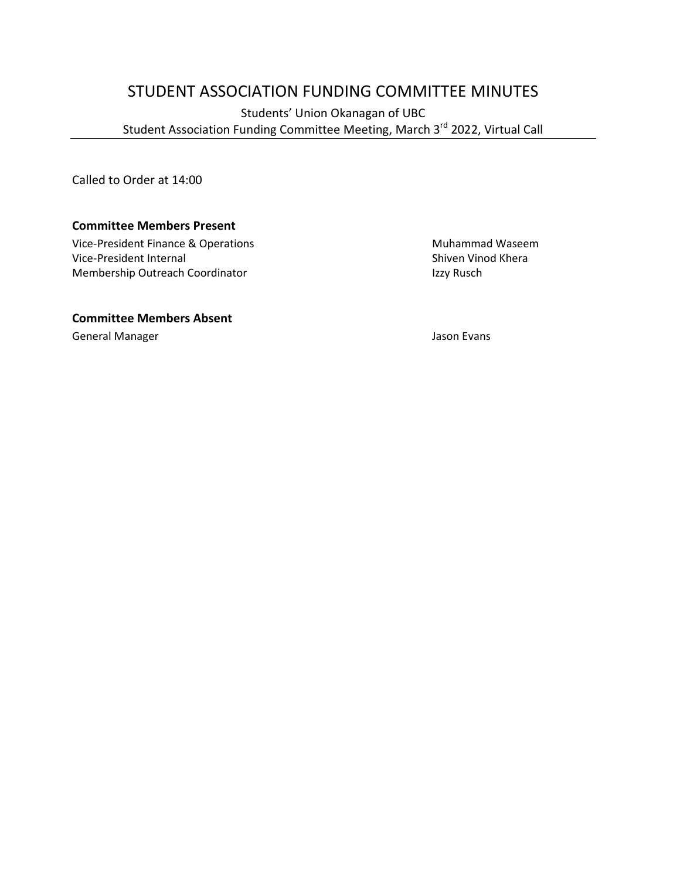# STUDENT ASSOCIATION FUNDING COMMITTEE MINUTES

Students' Union Okanagan of UBC Student Association Funding Committee Meeting, March 3<sup>rd</sup> 2022, Virtual Call

Called to Order at 14:00

### **Committee Members Present**

Vice-President Finance & Operations Muhammad Waseem Vice-President Internal Shiven Vinod Khera Membership Outreach Coordinator **Izzy Rusch** Izzy Rusch

### **Committee Members Absent**

General Manager Jason Evans